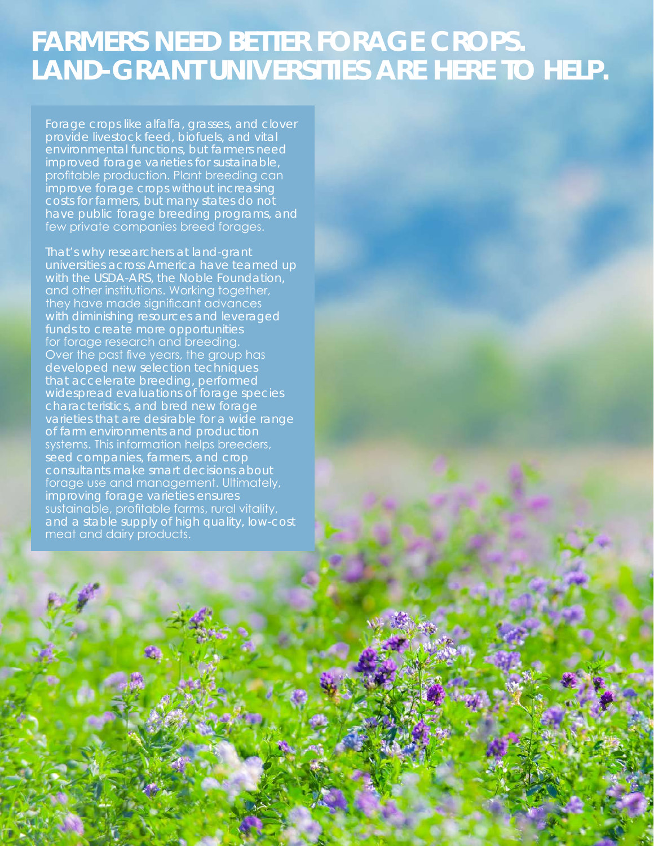## **FARMERS NEED BETTER FORAGE CROPS. LAND-GRANT UNIVERSITIES ARE HERE TO HELP.**

Forage crops like alfalfa, grasses, and clover provide livestock feed, biofuels, and vital environmental functions, but farmers need improved forage varieties for sustainable, profitable production. Plant breeding can improve forage crops without increasing have public forage breeding programs, and few private companies breed forages.

That's why researchers at land-grant with the USDA-ARS, the Noble Foundation, and other institutions. Working together, they have made significant advances with diminishing resources and leveraged funds to create more opportunities for forage research and breeding. Over the past five years, the group has developed new selection techniques that accelerate breeding, performed widespread evaluations of forage species characteristics, and bred new forage varieties that are desirable for a wide range of farm environments and production systems. This information helps breeders, seed companies, farmers, and crop consultants make smart decisions about forage use and management. Ultimately, improving forage varieties ensures sustainable, profitable farms, rural vitality, and a stable supply of high quality, low-cost meat and dairy products.